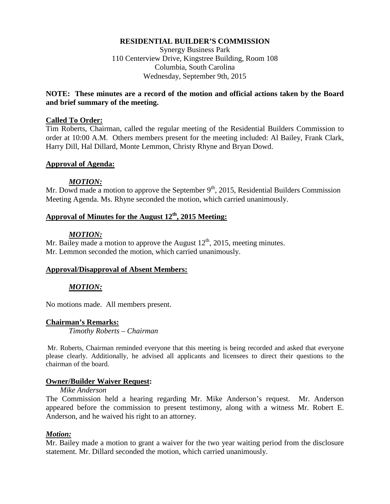### **RESIDENTIAL BUILDER'S COMMISSION**

Synergy Business Park 110 Centerview Drive, Kingstree Building, Room 108 Columbia, South Carolina Wednesday, September 9th, 2015

### **NOTE: These minutes are a record of the motion and official actions taken by the Board and brief summary of the meeting.**

### **Called To Order:**

Tim Roberts, Chairman, called the regular meeting of the Residential Builders Commission to order at 10:00 A.M. Others members present for the meeting included: Al Bailey, Frank Clark, Harry Dill, Hal Dillard, Monte Lemmon, Christy Rhyne and Bryan Dowd.

### **Approval of Agenda:**

### *MOTION:*

Mr. Dowd made a motion to approve the September  $9<sup>th</sup>$ , 2015, Residential Builders Commission Meeting Agenda. Ms. Rhyne seconded the motion, which carried unanimously.

# **Approval of Minutes for the August 12th, 2015 Meeting:**

### *MOTION:*

Mr. Bailey made a motion to approve the August  $12<sup>th</sup>$ , 2015, meeting minutes. Mr. Lemmon seconded the motion, which carried unanimously.

### **Approval/Disapproval of Absent Members:**

### *MOTION:*

No motions made. All members present.

#### **Chairman's Remarks:**

*Timothy Roberts – Chairman*

Mr. Roberts, Chairman reminded everyone that this meeting is being recorded and asked that everyone please clearly. Additionally, he advised all applicants and licensees to direct their questions to the chairman of the board.

#### **Owner/Builder Waiver Request:**

#### *Mike Anderson*

The Commission held a hearing regarding Mr. Mike Anderson's request. Mr. Anderson appeared before the commission to present testimony, along with a witness Mr. Robert E. Anderson, and he waived his right to an attorney.

### *Motion:*

Mr. Bailey made a motion to grant a waiver for the two year waiting period from the disclosure statement. Mr. Dillard seconded the motion, which carried unanimously.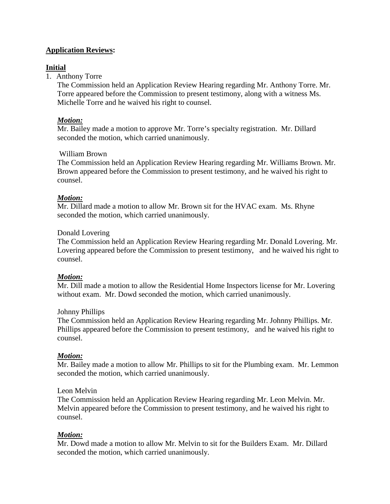# **Application Reviews:**

# **Initial**

# 1. Anthony Torre

The Commission held an Application Review Hearing regarding Mr. Anthony Torre. Mr. Torre appeared before the Commission to present testimony, along with a witness Ms. Michelle Torre and he waived his right to counsel.

# *Motion:*

Mr. Bailey made a motion to approve Mr. Torre's specialty registration. Mr. Dillard seconded the motion, which carried unanimously.

# William Brown

The Commission held an Application Review Hearing regarding Mr. Williams Brown. Mr. Brown appeared before the Commission to present testimony, and he waived his right to counsel.

# *Motion:*

Mr. Dillard made a motion to allow Mr. Brown sit for the HVAC exam. Ms. Rhyne seconded the motion, which carried unanimously.

### Donald Lovering

The Commission held an Application Review Hearing regarding Mr. Donald Lovering. Mr. Lovering appeared before the Commission to present testimony, and he waived his right to counsel.

### *Motion:*

Mr. Dill made a motion to allow the Residential Home Inspectors license for Mr. Lovering without exam. Mr. Dowd seconded the motion, which carried unanimously.

### Johnny Phillips

The Commission held an Application Review Hearing regarding Mr. Johnny Phillips. Mr. Phillips appeared before the Commission to present testimony, and he waived his right to counsel.

# *Motion:*

Mr. Bailey made a motion to allow Mr. Phillips to sit for the Plumbing exam. Mr. Lemmon seconded the motion, which carried unanimously.

### Leon Melvin

The Commission held an Application Review Hearing regarding Mr. Leon Melvin. Mr. Melvin appeared before the Commission to present testimony, and he waived his right to counsel.

# *Motion:*

Mr. Dowd made a motion to allow Mr. Melvin to sit for the Builders Exam. Mr. Dillard seconded the motion, which carried unanimously.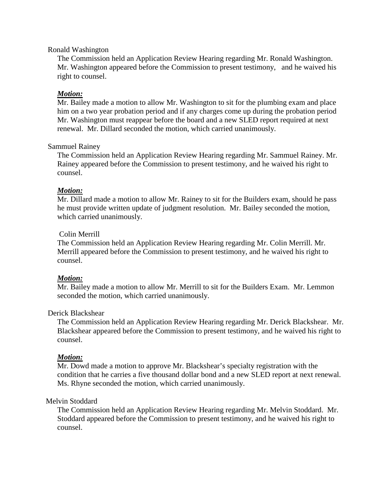### Ronald Washington

The Commission held an Application Review Hearing regarding Mr. Ronald Washington. Mr. Washington appeared before the Commission to present testimony, and he waived his right to counsel.

### *Motion:*

Mr. Bailey made a motion to allow Mr. Washington to sit for the plumbing exam and place him on a two year probation period and if any charges come up during the probation period Mr. Washington must reappear before the board and a new SLED report required at next renewal. Mr. Dillard seconded the motion, which carried unanimously.

### Sammuel Rainey

The Commission held an Application Review Hearing regarding Mr. Sammuel Rainey. Mr. Rainey appeared before the Commission to present testimony, and he waived his right to counsel.

### *Motion:*

Mr. Dillard made a motion to allow Mr. Rainey to sit for the Builders exam, should he pass he must provide written update of judgment resolution. Mr. Bailey seconded the motion, which carried unanimously.

### Colin Merrill

The Commission held an Application Review Hearing regarding Mr. Colin Merrill. Mr. Merrill appeared before the Commission to present testimony, and he waived his right to counsel.

### *Motion:*

Mr. Bailey made a motion to allow Mr. Merrill to sit for the Builders Exam. Mr. Lemmon seconded the motion, which carried unanimously.

### Derick Blackshear

The Commission held an Application Review Hearing regarding Mr. Derick Blackshear. Mr. Blackshear appeared before the Commission to present testimony, and he waived his right to counsel.

### *Motion:*

Mr. Dowd made a motion to approve Mr. Blackshear's specialty registration with the condition that he carries a five thousand dollar bond and a new SLED report at next renewal. Ms. Rhyne seconded the motion, which carried unanimously.

### Melvin Stoddard

The Commission held an Application Review Hearing regarding Mr. Melvin Stoddard. Mr. Stoddard appeared before the Commission to present testimony, and he waived his right to counsel.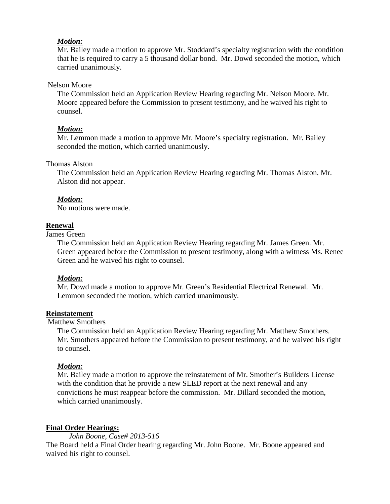### *Motion:*

Mr. Bailey made a motion to approve Mr. Stoddard's specialty registration with the condition that he is required to carry a 5 thousand dollar bond. Mr. Dowd seconded the motion, which carried unanimously.

### Nelson Moore

The Commission held an Application Review Hearing regarding Mr. Nelson Moore. Mr. Moore appeared before the Commission to present testimony, and he waived his right to counsel.

# *Motion:*

Mr. Lemmon made a motion to approve Mr. Moore's specialty registration. Mr. Bailey seconded the motion, which carried unanimously.

### Thomas Alston

The Commission held an Application Review Hearing regarding Mr. Thomas Alston. Mr. Alston did not appear.

# *Motion:*

No motions were made.

# **Renewal**

James Green

The Commission held an Application Review Hearing regarding Mr. James Green. Mr. Green appeared before the Commission to present testimony, along with a witness Ms. Renee Green and he waived his right to counsel.

# *Motion:*

Mr. Dowd made a motion to approve Mr. Green's Residential Electrical Renewal. Mr. Lemmon seconded the motion, which carried unanimously.

# **Reinstatement**

Matthew Smothers

The Commission held an Application Review Hearing regarding Mr. Matthew Smothers. Mr. Smothers appeared before the Commission to present testimony, and he waived his right to counsel.

# *Motion:*

Mr. Bailey made a motion to approve the reinstatement of Mr. Smother's Builders License with the condition that he provide a new SLED report at the next renewal and any convictions he must reappear before the commission. Mr. Dillard seconded the motion, which carried unanimously.

# **Final Order Hearings:**

*John Boone, Case# 2013-516*

The Board held a Final Order hearing regarding Mr. John Boone. Mr. Boone appeared and waived his right to counsel.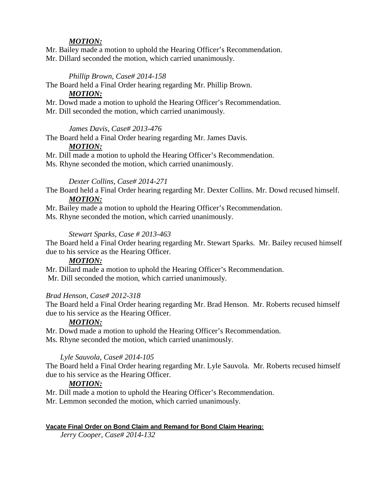# *MOTION:*

Mr. Bailey made a motion to uphold the Hearing Officer's Recommendation. Mr. Dillard seconded the motion, which carried unanimously.

### *Phillip Brown, Case# 2014-158*

The Board held a Final Order hearing regarding Mr. Phillip Brown.

### *MOTION:*

Mr. Dowd made a motion to uphold the Hearing Officer's Recommendation. Mr. Dill seconded the motion, which carried unanimously.

### *James Davis, Case# 2013-476*

The Board held a Final Order hearing regarding Mr. James Davis.

### *MOTION:*

Mr. Dill made a motion to uphold the Hearing Officer's Recommendation.

Ms. Rhyne seconded the motion, which carried unanimously.

### *Dexter Collins, Case# 2014-271*

The Board held a Final Order hearing regarding Mr. Dexter Collins. Mr. Dowd recused himself. *MOTION:*

Mr. Bailey made a motion to uphold the Hearing Officer's Recommendation.

Ms. Rhyne seconded the motion, which carried unanimously.

# *Stewart Sparks, Case # 2013-463*

The Board held a Final Order hearing regarding Mr. Stewart Sparks. Mr. Bailey recused himself due to his service as the Hearing Officer.

### *MOTION:*

Mr. Dillard made a motion to uphold the Hearing Officer's Recommendation. Mr. Dill seconded the motion, which carried unanimously.

### *Brad Henson, Case# 2012-318*

The Board held a Final Order hearing regarding Mr. Brad Henson. Mr. Roberts recused himself due to his service as the Hearing Officer.

#### *MOTION:*

Mr. Dowd made a motion to uphold the Hearing Officer's Recommendation. Ms. Rhyne seconded the motion, which carried unanimously.

### *Lyle Sauvola, Case# 2014-105*

The Board held a Final Order hearing regarding Mr. Lyle Sauvola. Mr. Roberts recused himself due to his service as the Hearing Officer.

#### *MOTION:*

Mr. Dill made a motion to uphold the Hearing Officer's Recommendation.

Mr. Lemmon seconded the motion, which carried unanimously.

#### **Vacate Final Order on Bond Claim and Remand for Bond Claim Hearing:**

*Jerry Cooper, Case# 2014-132*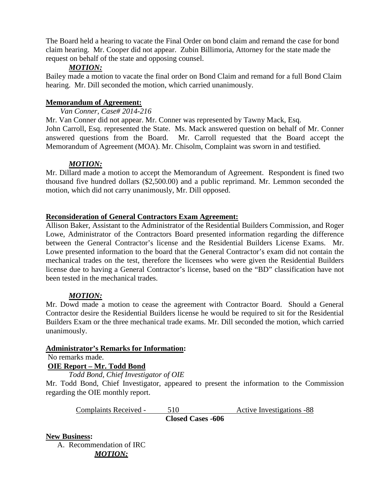The Board held a hearing to vacate the Final Order on bond claim and remand the case for bond claim hearing. Mr. Cooper did not appear. Zubin Billimoria, Attorney for the state made the request on behalf of the state and opposing counsel.

### *MOTION:*

Bailey made a motion to vacate the final order on Bond Claim and remand for a full Bond Claim hearing. Mr. Dill seconded the motion, which carried unanimously.

# **Memorandum of Agreement:**

*Van Conner, Case# 2014-216*

Mr. Van Conner did not appear. Mr. Conner was represented by Tawny Mack, Esq. John Carroll, Esq. represented the State. Ms. Mack answered question on behalf of Mr. Conner answered questions from the Board. Mr. Carroll requested that the Board accept the Memorandum of Agreement (MOA). Mr. Chisolm, Complaint was sworn in and testified.

# *MOTION:*

Mr. Dillard made a motion to accept the Memorandum of Agreement. Respondent is fined two thousand five hundred dollars (\$2,500.00) and a public reprimand. Mr. Lemmon seconded the motion, which did not carry unanimously, Mr. Dill opposed.

### **Reconsideration of General Contractors Exam Agreement:**

Allison Baker, Assistant to the Administrator of the Residential Builders Commission, and Roger Lowe, Administrator of the Contractors Board presented information regarding the difference between the General Contractor's license and the Residential Builders License Exams. Mr. Lowe presented information to the board that the General Contractor's exam did not contain the mechanical trades on the test, therefore the licensees who were given the Residential Builders license due to having a General Contractor's license, based on the "BD" classification have not been tested in the mechanical trades.

# *MOTION:*

Mr. Dowd made a motion to cease the agreement with Contractor Board. Should a General Contractor desire the Residential Builders license he would be required to sit for the Residential Builders Exam or the three mechanical trade exams. Mr. Dill seconded the motion, which carried unanimously.

### **Administrator's Remarks for Information:**

No remarks made.

### **OIE Report – Mr. Todd Bond**

*Todd Bond, Chief Investigator of OIE*

Mr. Todd Bond, Chief Investigator, appeared to present the information to the Commission regarding the OIE monthly report.

Complaints Received - 510 Active Investigations -88 **Closed Cases -606**

### **New Business:**

A. Recommendation of IRC *MOTION:*